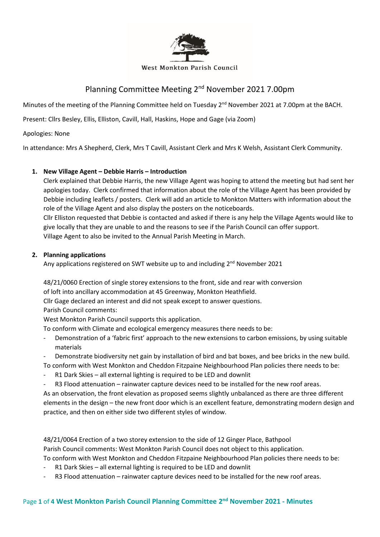

#### **West Monkton Parish Council**

# Planning Committee Meeting 2<sup>nd</sup> November 2021 7.00pm

Minutes of the meeting of the Planning Committee held on Tuesday 2<sup>nd</sup> November 2021 at 7.00pm at the BACH.

Present: Cllrs Besley, Ellis, Elliston, Cavill, Hall, Haskins, Hope and Gage (via Zoom)

Apologies: None

In attendance: Mrs A Shepherd, Clerk, Mrs T Cavill, Assistant Clerk and Mrs K Welsh, Assistant Clerk Community.

## **1. New Village Agent – Debbie Harris – Introduction**

Clerk explained that Debbie Harris, the new Village Agent was hoping to attend the meeting but had sent her apologies today. Clerk confirmed that information about the role of the Village Agent has been provided by Debbie including leaflets / posters. Clerk will add an article to Monkton Matters with information about the role of the Village Agent and also display the posters on the noticeboards.

Cllr Elliston requested that Debbie is contacted and asked if there is any help the Village Agents would like to give locally that they are unable to and the reasons to see if the Parish Council can offer support. Village Agent to also be invited to the Annual Parish Meeting in March.

### **2. Planning applications**

Any applications registered on SWT website up to and including 2<sup>nd</sup> November 2021

48/21/0060 Erection of single storey extensions to the front, side and rear with conversion of loft into ancillary accommodation at 45 Greenway, Monkton Heathfield.

Cllr Gage declared an interest and did not speak except to answer questions.

Parish Council comments:

West Monkton Parish Council supports this application.

To conform with Climate and ecological emergency measures there needs to be:

- Demonstration of a 'fabric first' approach to the new extensions to carbon emissions, by using suitable materials
- Demonstrate biodiversity net gain by installation of bird and bat boxes, and bee bricks in the new build. To conform with West Monkton and Cheddon Fitzpaine Neighbourhood Plan policies there needs to be:
- R1 Dark Skies all external lighting is required to be LED and downlit
- R3 Flood attenuation rainwater capture devices need to be installed for the new roof areas.

As an observation, the front elevation as proposed seems slightly unbalanced as there are three different elements in the design – the new front door which is an excellent feature, demonstrating modern design and practice, and then on either side two different styles of window.

48/21/0064 Erection of a two storey extension to the side of 12 Ginger Place, Bathpool Parish Council comments: West Monkton Parish Council does not object to this application. To conform with West Monkton and Cheddon Fitzpaine Neighbourhood Plan policies there needs to be:

- R1 Dark Skies all external lighting is required to be LED and downlit
- R3 Flood attenuation rainwater capture devices need to be installed for the new roof areas.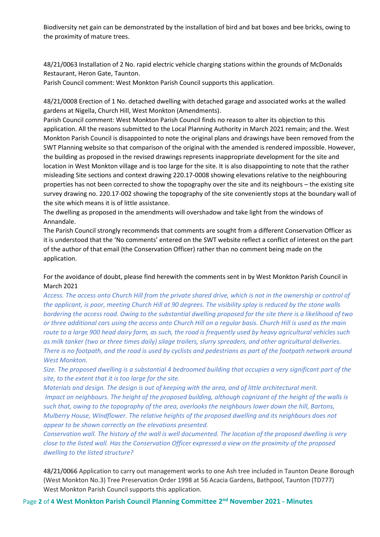Biodiversity net gain can be demonstrated by the installation of bird and bat boxes and bee bricks, owing to the proximity of mature trees.

48/21/0063 Installation of 2 No. rapid electric vehicle charging stations within the grounds of McDonalds Restaurant, Heron Gate, Taunton.

Parish Council comment: West Monkton Parish Council supports this application.

48/21/0008 Erection of 1 No. detached dwelling with detached garage and associated works at the walled gardens at Nigella, Church Hill, West Monkton (Amendments).

Parish Council comment: West Monkton Parish Council finds no reason to alter its objection to this application. All the reasons submitted to the Local Planning Authority in March 2021 remain; and the. West Monkton Parish Council is disappointed to note the original plans and drawings have been removed from the SWT Planning website so that comparison of the original with the amended is rendered impossible. However, the building as proposed in the revised drawings represents inappropriate development for the site and location in West Monkton village and is too large for the site. It is also disappointing to note that the rather misleading Site sections and context drawing 220.17-0008 showing elevations relative to the neighbouring properties has not been corrected to show the topography over the site and its neighbours – the existing site survey drawing no. 220.17-002 showing the topography of the site conveniently stops at the boundary wall of the site which means it is of little assistance.

The dwelling as proposed in the amendments will overshadow and take light from the windows of Annandale.

The Parish Council strongly recommends that comments are sought from a different Conservation Officer as it is understood that the 'No comments' entered on the SWT website reflect a conflict of interest on the part of the author of that email (the Conservation Officer) rather than no comment being made on the application.

For the avoidance of doubt, please find herewith the comments sent in by West Monkton Parish Council in March 2021

*Access. The access onto Church Hill from the private shared drive, which is not in the ownership or control of the applicant, is poor, meeting Church Hill at 90 degrees. The visibility splay is reduced by the stone walls bordering the access road. Owing to the substantial dwelling proposed for the site there is a likelihood of two or three additional cars using the access onto Church Hill on a regular basis. Church Hill is used as the main route to a large 900 head dairy farm, as such, the road is frequently used by heavy agricultural vehicles such as milk tanker (two or three times daily) silage trailers, slurry spreaders, and other agricultural deliveries. There is no footpath, and the road is used by cyclists and pedestrians as part of the footpath network around West Monkton.* 

*Size. The proposed dwelling is a substantial 4 bedroomed building that occupies a very significant part of the site, to the extent that it is too large for the site.* 

*Materials and design. The design is out of keeping with the area, and of little architectural merit. Impact on neighbours. The height of the proposed building, although cognizant of the height of the walls is such that, owing to the topography of the area, overlooks the neighbours lower down the hill, Bartons, Mulberry House, Windflower. The relative heights of the proposed dwelling and its neighbours does not appear to be shown correctly on the elevations presented.* 

*Conservation wall. The history of the wall is well documented. The location of the proposed dwelling is very close to the listed wall. Has the Conservation Officer expressed a view on the proximity of the proposed dwelling to the listed structure?*

48/21/0066 Application to carry out management works to one Ash tree included in Taunton Deane Borough (West Monkton No.3) Tree Preservation Order 1998 at 56 Acacia Gardens, Bathpool, Taunton (TD777) West Monkton Parish Council supports this application.

Page **2** of **4 West Monkton Parish Council Planning Committee 2 nd November 2021 - Minutes**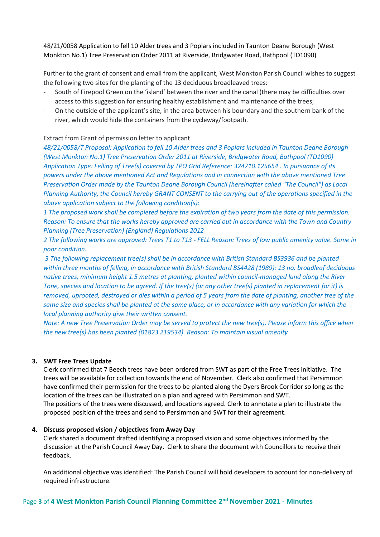48/21/0058 Application to fell 10 Alder trees and 3 Poplars included in Taunton Deane Borough (West Monkton No.1) Tree Preservation Order 2011 at Riverside, Bridgwater Road, Bathpool (TD1090)

Further to the grant of consent and email from the applicant, West Monkton Parish Council wishes to suggest the following two sites for the planting of the 13 deciduous broadleaved trees:

- South of Firepool Green on the 'island' between the river and the canal (there may be difficulties over access to this suggestion for ensuring healthy establishment and maintenance of the trees;
- On the outside of the applicant's site, in the area between his boundary and the southern bank of the river, which would hide the containers from the cycleway/footpath.

#### Extract from Grant of permission letter to applicant

*48/21/0058/T Proposal: Application to fell 10 Alder trees and 3 Poplars included in Taunton Deane Borough (West Monkton No.1) Tree Preservation Order 2011 at Riverside, Bridgwater Road, Bathpool (TD1090) Application Type: Felling of Tree(s) covered by TPO Grid Reference: 324710.125654 . In pursuance of its powers under the above mentioned Act and Regulations and in connection with the above mentioned Tree Preservation Order made by the Taunton Deane Borough Council (hereinafter called "The Council") as Local Planning Authority, the Council hereby GRANT CONSENT to the carrying out of the operations specified in the above application subject to the following condition(s):* 

*1 The proposed work shall be completed before the expiration of two years from the date of this permission. Reason: To ensure that the works hereby approved are carried out in accordance with the Town and Country Planning (Tree Preservation) (England) Regulations 2012* 

*2 The following works are approved: Trees T1 to T13 - FELL Reason: Trees of low public amenity value. Some in poor condition.*

*3 The following replacement tree(s) shall be in accordance with British Standard BS3936 and be planted within three months of felling, in accordance with British Standard BS4428 (1989): 13 no. broadleaf deciduous native trees, minimum height 1.5 metres at planting, planted within council-managed land along the River Tone, species and location to be agreed. If the tree(s) (or any other tree(s) planted in replacement for it) is removed, uprooted, destroyed or dies within a period of 5 years from the date of planting, another tree of the same size and species shall be planted at the same place, or in accordance with any variation for which the local planning authority give their written consent.* 

*Note: A new Tree Preservation Order may be served to protect the new tree(s). Please inform this office when the new tree(s) has been planted (01823 219534). Reason: To maintain visual amenity*

#### **3. SWT Free Trees Update**

Clerk confirmed that 7 Beech trees have been ordered from SWT as part of the Free Trees initiative. The trees will be available for collection towards the end of November. Clerk also confirmed that Persimmon have confirmed their permission for the trees to be planted along the Dyers Brook Corridor so long as the location of the trees can be illustrated on a plan and agreed with Persimmon and SWT. The positions of the trees were discussed, and locations agreed. Clerk to annotate a plan to illustrate the proposed position of the trees and send to Persimmon and SWT for their agreement.

#### **4. Discuss proposed vision / objectives from Away Day**

Clerk shared a document drafted identifying a proposed vision and some objectives informed by the discussion at the Parish Council Away Day. Clerk to share the document with Councillors to receive their feedback.

An additional objective was identified: The Parish Council will hold developers to account for non-delivery of required infrastructure.